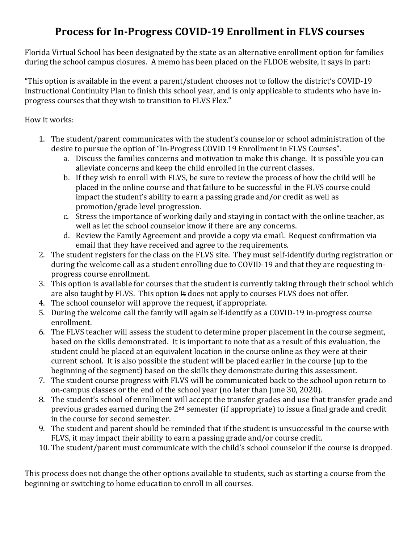## **Process for In-Progress COVID-19 Enrollment in FLVS courses**

Florida Virtual School has been designated by the state as an alternative enrollment option for families during the school campus closures. A memo has been placed on the FLDOE website, it says in part:

"This option is available in the event a parent/student chooses not to follow the district's COVID-19 Instructional Continuity Plan to finish this school year, and is only applicable to students who have inprogress courses that they wish to transition to FLVS Flex."

How it works:

- 1. The student/parent communicates with the student's counselor or school administration of the desire to pursue the option of "In-Progress COVID 19 Enrollment in FLVS Courses".
	- a. Discuss the families concerns and motivation to make this change. It is possible you can alleviate concerns and keep the child enrolled in the current classes.
	- b. If they wish to enroll with FLVS, be sure to review the process of how the child will be placed in the online course and that failure to be successful in the FLVS course could impact the student's ability to earn a passing grade and/or credit as well as promotion/grade level progression.
	- c. Stress the importance of working daily and staying in contact with the online teacher, as well as let the school counselor know if there are any concerns.
	- d. Review the Family Agreement and provide a copy via email. Request confirmation via email that they have received and agree to the requirements.
- 2. The student registers for the class on the FLVS site. They must self-identify during registration or during the welcome call as a student enrolling due to COVID-19 and that they are requesting inprogress course enrollment.
- 3. This option is available for courses that the student is currently taking through their school which are also taught by FLVS. This option  $\#$  does not apply to courses FLVS does not offer.
- 4. The school counselor will approve the request, if appropriate.
- 5. During the welcome call the family will again self-identify as a COVID-19 in-progress course enrollment.
- 6. The FLVS teacher will assess the student to determine proper placement in the course segment, based on the skills demonstrated. It is important to note that as a result of this evaluation, the student could be placed at an equivalent location in the course online as they were at their current school. It is also possible the student will be placed earlier in the course (up to the beginning of the segment) based on the skills they demonstrate during this assessment.
- 7. The student course progress with FLVS will be communicated back to the school upon return to on-campus classes or the end of the school year (no later than June 30, 2020).
- 8. The student's school of enrollment will accept the transfer grades and use that transfer grade and previous grades earned during the 2nd semester (if appropriate) to issue a final grade and credit in the course for second semester.
- 9. The student and parent should be reminded that if the student is unsuccessful in the course with FLVS, it may impact their ability to earn a passing grade and/or course credit.
- 10. The student/parent must communicate with the child's school counselor if the course is dropped.

This process does not change the other options available to students, such as starting a course from the beginning or switching to home education to enroll in all courses.